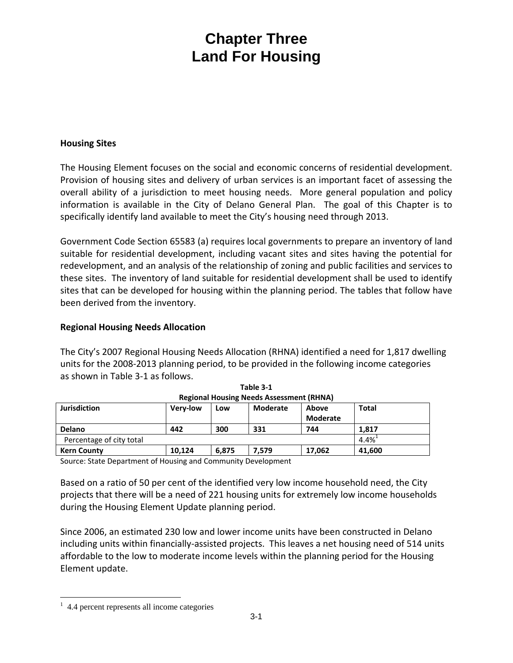#### **Housing Sites**

The Housing Element focuses on the social and economic concerns of residential development. Provision of housing sites and delivery of urban services is an important facet of assessing the overall ability of a jurisdiction to meet housing needs. More general population and policy information is available in the City of Delano General Plan. The goal of this Chapter is to specifically identify land available to meet the City's housing need through 2013.

Government Code Section 65583 (a) requires local governments to prepare an inventory of land suitable for residential development, including vacant sites and sites having the potential for redevelopment, and an analysis of the relationship of zoning and public facilities and services to these sites. The inventory of land suitable for residential development shall be used to identify sites that can be developed for housing within the planning period. The tables that follow have been derived from the inventory.

#### **Regional Housing Needs Allocation**

The City's 2007 Regional Housing Needs Allocation (RHNA) identified a need for 1,817 dwelling units for the 2008‐2013 planning period, to be provided in the following income categories as shown in Table 3‐1 as follows.

| $R_{\rm E}$              |                                                         |       |              |        |         |  |  |  |
|--------------------------|---------------------------------------------------------|-------|--------------|--------|---------|--|--|--|
| <b>Jurisdiction</b>      | Moderate<br><b>Verv-low</b><br>Above<br>Low<br>Moderate |       | <b>Total</b> |        |         |  |  |  |
|                          |                                                         |       |              |        |         |  |  |  |
| Delano                   | 442                                                     | 300   | 331          | 744    | 1.817   |  |  |  |
| Percentage of city total |                                                         |       |              |        | $4.4\%$ |  |  |  |
| <b>Kern County</b>       | 10.124                                                  | 6,875 | 7,579        | 17.062 | 41,600  |  |  |  |

**Table 3‐1 Regional Housing Needs Assessment (RHNA)**

Source: State Department of Housing and Community Development

Based on a ratio of 50 per cent of the identified very low income household need, the City projects that there will be a need of 221 housing units for extremely low income households during the Housing Element Update planning period.

Since 2006, an estimated 230 low and lower income units have been constructed in Delano including units within financially‐assisted projects. This leaves a net housing need of 514 units affordable to the low to moderate income levels within the planning period for the Housing Element update.

 $\overline{a}$ <sup>1</sup> 4.4 percent represents all income categories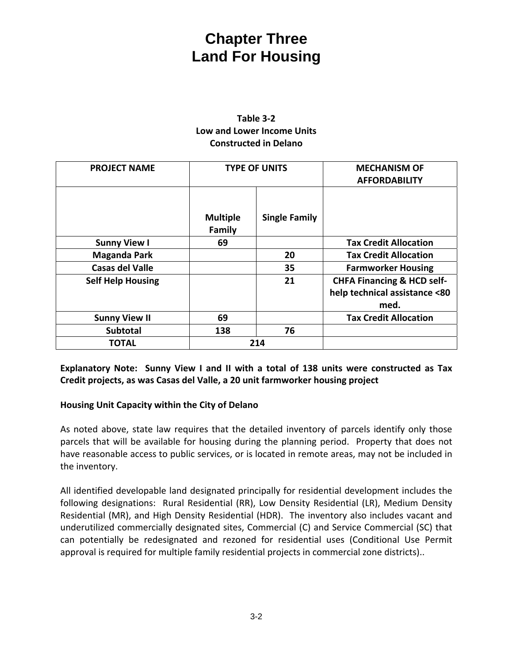#### **Table 3‐2 Low and Lower Income Units Constructed in Delano**

| <b>PROJECT NAME</b>      | <b>TYPE OF UNITS</b>      |                      | <b>MECHANISM OF</b>                   |
|--------------------------|---------------------------|----------------------|---------------------------------------|
|                          |                           |                      | <b>AFFORDABILITY</b>                  |
|                          | <b>Multiple</b><br>Family | <b>Single Family</b> |                                       |
| <b>Sunny View I</b>      | 69                        |                      | <b>Tax Credit Allocation</b>          |
| <b>Maganda Park</b>      |                           | 20                   | <b>Tax Credit Allocation</b>          |
| <b>Casas del Valle</b>   |                           | 35                   | <b>Farmworker Housing</b>             |
| <b>Self Help Housing</b> |                           | 21                   | <b>CHFA Financing &amp; HCD self-</b> |
|                          |                           |                      | help technical assistance <80         |
|                          |                           |                      | med.                                  |
| <b>Sunny View II</b>     | 69                        |                      | <b>Tax Credit Allocation</b>          |
| <b>Subtotal</b>          | 138                       | 76                   |                                       |
| <b>TOTAL</b>             | 214                       |                      |                                       |

**Explanatory Note: Sunny View I and II with a total of 138 units were constructed as Tax Credit projects, as was Casas del Valle, a 20 unit farmworker housing project** 

#### **Housing Unit Capacity within the City of Delano**

As noted above, state law requires that the detailed inventory of parcels identify only those parcels that will be available for housing during the planning period. Property that does not have reasonable access to public services, or is located in remote areas, may not be included in the inventory.

All identified developable land designated principally for residential development includes the following designations: Rural Residential (RR), Low Density Residential (LR), Medium Density Residential (MR), and High Density Residential (HDR). The inventory also includes vacant and underutilized commercially designated sites, Commercial (C) and Service Commercial (SC) that can potentially be redesignated and rezoned for residential uses (Conditional Use Permit approval is required for multiple family residential projects in commercial zone districts)..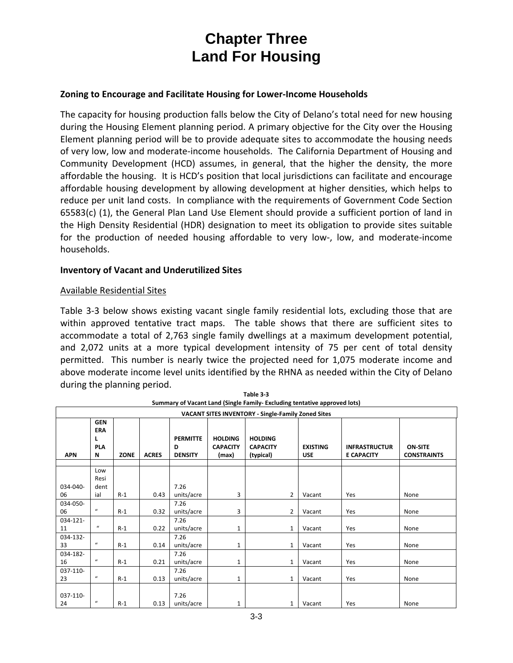#### **Zoning to Encourage and Facilitate Housing for Lower‐Income Households**

The capacity for housing production falls below the City of Delano's total need for new housing during the Housing Element planning period. A primary objective for the City over the Housing Element planning period will be to provide adequate sites to accommodate the housing needs of very low, low and moderate‐income households. The California Department of Housing and Community Development (HCD) assumes, in general, that the higher the density, the more affordable the housing. It is HCD's position that local jurisdictions can facilitate and encourage affordable housing development by allowing development at higher densities, which helps to reduce per unit land costs. In compliance with the requirements of Government Code Section 65583(c) (1), the General Plan Land Use Element should provide a sufficient portion of land in the High Density Residential (HDR) designation to meet its obligation to provide sites suitable for the production of needed housing affordable to very low-, low, and moderate-income households.

#### **Inventory of Vacant and Underutilized Sites**

#### Available Residential Sites

Table 3-3 below shows existing vacant single family residential lots, excluding those that are within approved tentative tract maps. The table shows that there are sufficient sites to accommodate a total of 2,763 single family dwellings at a maximum development potential, and 2,072 units at a more typical development intensity of 75 per cent of total density permitted. This number is nearly twice the projected need for 1,075 moderate income and above moderate income level units identified by the RHNA as needed within the City of Delano during the planning period.

| VACANT SITES INVENTORY - Single-Family Zoned Sites |                                           |             |              |                                        |                                            |                                                |                               |                                           |                                      |
|----------------------------------------------------|-------------------------------------------|-------------|--------------|----------------------------------------|--------------------------------------------|------------------------------------------------|-------------------------------|-------------------------------------------|--------------------------------------|
| <b>APN</b>                                         | <b>GEN</b><br>ERA<br>L<br><b>PLA</b><br>N | <b>ZONE</b> | <b>ACRES</b> | <b>PERMITTE</b><br>D<br><b>DENSITY</b> | <b>HOLDING</b><br><b>CAPACITY</b><br>(max) | <b>HOLDING</b><br><b>CAPACITY</b><br>(typical) | <b>EXISTING</b><br><b>USE</b> | <b>INFRASTRUCTUR</b><br><b>E CAPACITY</b> | <b>ON-SITE</b><br><b>CONSTRAINTS</b> |
| 034-040-                                           | Low<br>Resi<br>dent                       |             |              | 7.26                                   |                                            |                                                |                               |                                           |                                      |
| 06                                                 | ial                                       | $R-1$       | 0.43         | units/acre                             | 3                                          | $\overline{2}$                                 | Vacant                        | Yes                                       | None                                 |
| 034-050-<br>06                                     | $\boldsymbol{u}$                          | $R-1$       | 0.32         | 7.26<br>units/acre                     | 3                                          | $\overline{2}$                                 | Vacant                        | Yes                                       | None                                 |
| 034-121-<br>11                                     | $\boldsymbol{u}$                          | $R-1$       | 0.22         | 7.26<br>units/acre                     | $\mathbf{1}$                               | $\mathbf{1}$                                   | Vacant                        | Yes                                       | None                                 |
| 034-132-<br>33                                     | $\boldsymbol{u}$                          | $R-1$       | 0.14         | 7.26<br>units/acre                     | 1                                          | $\mathbf{1}$                                   | Vacant                        | Yes                                       | None                                 |
| 034-182-<br>16                                     | $\mathcal{U}$                             | $R-1$       | 0.21         | 7.26<br>units/acre                     | 1                                          | $\mathbf{1}$                                   | Vacant                        | Yes                                       | None                                 |
| 037-110-<br>23                                     | $\mathcal{U}$                             | $R-1$       | 0.13         | 7.26<br>units/acre                     | $\mathbf{1}$                               | $\mathbf{1}$                                   | Vacant                        | Yes                                       | None                                 |
| 037-110-<br>24                                     | $\boldsymbol{u}$                          | $R-1$       | 0.13         | 7.26<br>units/acre                     | 1                                          | 1                                              | Vacant                        | Yes                                       | None                                 |

| Table 3-3                                                                 |
|---------------------------------------------------------------------------|
| Summary of Vacant Land (Single Family- Excluding tentative approved lots) |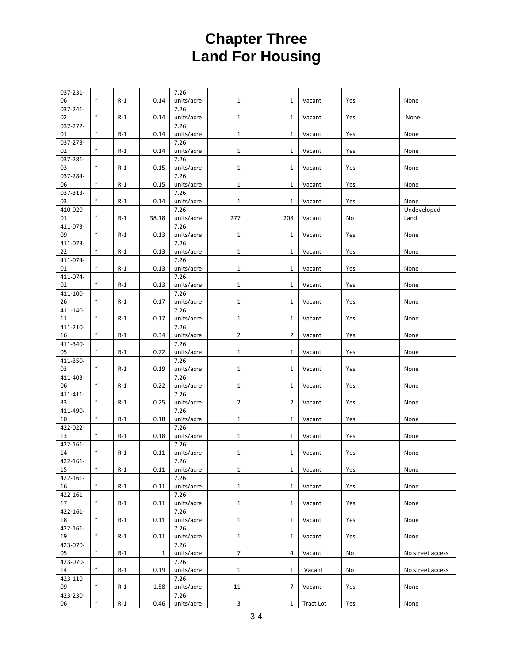| 037-231- |                            |       |              | 7.26       |                |                |           |     |                  |
|----------|----------------------------|-------|--------------|------------|----------------|----------------|-----------|-----|------------------|
| 06       | $\boldsymbol{\mathcal{U}}$ | $R-1$ | 0.14         | units/acre | $\mathbf{1}$   | 1              | Vacant    | Yes | None             |
| 037-241- |                            |       |              | 7.26       |                |                |           |     |                  |
| 02       | $\boldsymbol{u}$           | $R-1$ | 0.14         | units/acre | $\mathbf{1}$   | $\mathbf{1}$   | Vacant    | Yes | None             |
| 037-272- |                            |       |              | 7.26       |                |                |           |     |                  |
| 01       | $\boldsymbol{u}$           | $R-1$ | 0.14         | units/acre | 1              | 1              | Vacant    | Yes | None             |
| 037-273- |                            |       |              | 7.26       |                |                |           |     |                  |
| 02       | $\boldsymbol{\mathcal{U}}$ | $R-1$ | 0.14         | units/acre | $\mathbf{1}$   | $\mathbf{1}$   | Vacant    | Yes | None             |
| 037-281- |                            |       |              | 7.26       |                |                |           |     |                  |
| 03       | $\boldsymbol{u}$           | $R-1$ | 0.15         | units/acre | $\mathbf{1}$   | $\mathbf{1}$   | Vacant    | Yes | None             |
| 037-284- |                            |       |              | 7.26       |                |                |           |     |                  |
| 06       | $\boldsymbol{\mathcal{U}}$ | $R-1$ | 0.15         | units/acre | $\mathbf{1}$   | 1              | Vacant    | Yes | None             |
| 037-313- |                            |       |              | 7.26       |                |                |           |     |                  |
| 03       | $\boldsymbol{\mathcal{U}}$ | $R-1$ | 0.14         | units/acre | $\mathbf 1$    | 1              | Vacant    | Yes | None             |
| 410-020- |                            |       |              | 7.26       |                |                |           |     | Undeveloped      |
| 01       | $\boldsymbol{u}$           | $R-1$ | 38.18        | units/acre | 277            | 208            | Vacant    | No  | Land             |
| 411-073- |                            |       |              | 7.26       |                |                |           |     |                  |
| 09       | $\boldsymbol{\mathcal{U}}$ | $R-1$ | 0.13         | units/acre | $\mathbf{1}$   | 1              | Vacant    | Yes | None             |
| 411-073- |                            |       |              | 7.26       |                |                |           |     |                  |
| 22       | $\boldsymbol{\mathcal{U}}$ | $R-1$ | 0.13         | units/acre | $\mathbf{1}$   | $\mathbf{1}$   | Vacant    | Yes | None             |
| 411-074- |                            |       |              | 7.26       |                |                |           |     |                  |
| 01       | $\boldsymbol{u}$           | $R-1$ | 0.13         | units/acre | $\mathbf{1}$   | $\mathbf{1}$   | Vacant    | Yes | None             |
| 411-074- |                            |       |              | 7.26       |                |                |           |     |                  |
| 02       | $\boldsymbol{\mathcal{U}}$ | $R-1$ | 0.13         | units/acre | $\mathbf{1}$   | 1              | Vacant    | Yes | None             |
| 411-100- |                            |       |              | 7.26       |                |                |           |     |                  |
| 26       | $\boldsymbol{\mathcal{U}}$ | $R-1$ | 0.17         | units/acre | $\mathbf{1}$   | $\mathbf{1}$   | Vacant    | Yes | None             |
| 411-140- |                            |       |              | 7.26       |                |                |           |     |                  |
| 11       | $\boldsymbol{u}$           | $R-1$ | 0.17         | units/acre | $\mathbf{1}$   | $\mathbf{1}$   | Vacant    | Yes | None             |
| 411-210- |                            |       |              | 7.26       |                |                |           |     |                  |
| 16       | $\boldsymbol{\mathcal{U}}$ | $R-1$ | 0.34         | units/acre | 2              | $\overline{2}$ | Vacant    | Yes | None             |
| 411-340- |                            |       |              | 7.26       |                |                |           |     |                  |
| 05       | $\boldsymbol{\mathcal{U}}$ | $R-1$ | 0.22         | units/acre | $\mathbf{1}$   | $\mathbf{1}$   | Vacant    | Yes | None             |
| 411-350- |                            |       |              | 7.26       |                |                |           |     |                  |
| 03       | $\boldsymbol{u}$           | $R-1$ | 0.19         | units/acre | $\mathbf{1}$   | $\mathbf{1}$   | Vacant    | Yes | None             |
| 411-403- |                            |       |              | 7.26       |                |                |           |     |                  |
| 06       | $\boldsymbol{\mathcal{U}}$ | $R-1$ | 0.22         | units/acre | $\mathbf{1}$   | 1              | Vacant    | Yes | None             |
| 411-411- |                            |       |              | 7.26       |                |                |           |     |                  |
| 33       | $\boldsymbol{u}$           | $R-1$ | 0.25         | units/acre | $\overline{2}$ | $\overline{2}$ | Vacant    | Yes | None             |
| 411-490- |                            |       |              | 7.26       |                |                |           |     |                  |
| 10       | $\boldsymbol{u}$           | $R-1$ | 0.18         | units/acre | $\mathbf{1}$   | $\mathbf{1}$   | Vacant    | Yes | None             |
| 422-022- |                            |       |              | 7.26       |                |                |           |     |                  |
| 13       | $\boldsymbol{\mathcal{U}}$ | $R-1$ | 0.18         | units/acre | $\mathbf{1}$   | 1              | Vacant    | Yes | None             |
| 422-161- | $\boldsymbol{\mathcal{U}}$ |       |              | 7.26       |                |                |           |     |                  |
| 14       |                            | $R-1$ | 0.11         | units/acre | 1              | 1              | Vacant    | Yes | None             |
| 422-161- | $\boldsymbol{u}$           |       |              | 7.26       |                |                |           |     |                  |
| 15       |                            | $R-1$ | 0.11         | units/acre | $\mathbf{1}$   | 1              | Vacant    | Yes | None             |
| 422-161- | $\boldsymbol{\mathcal{U}}$ |       |              | 7.26       |                |                |           |     |                  |
| 16       |                            | $R-1$ | 0.11         | units/acre | $\mathbf{1}$   | $\mathbf{1}$   | Vacant    | Yes | None             |
| 422-161- | $\boldsymbol{u}$           |       |              | 7.26       |                |                |           |     |                  |
| 17       |                            | $R-1$ | 0.11         | units/acre | $\mathbf{1}$   | $\mathbf{1}$   | Vacant    | Yes | None             |
| 422-161- | $\boldsymbol{u}$           |       |              | 7.26       |                |                |           |     |                  |
| 18       |                            | $R-1$ | 0.11         | units/acre | $\mathbf{1}$   | $\mathbf{1}$   | Vacant    | Yes | None             |
| 422-161- | $\boldsymbol{u}$           |       |              | 7.26       |                |                |           |     |                  |
| 19       |                            | $R-1$ | 0.11         | units/acre | $\mathbf{1}$   | $\mathbf{1}$   | Vacant    | Yes | None             |
| 423-070- | $\boldsymbol{u}$           |       |              | 7.26       |                |                |           |     |                  |
| 05       |                            | $R-1$ | $\mathbf{1}$ | units/acre | 7              | 4              | Vacant    | No  | No street access |
| 423-070- | $\boldsymbol{u}$           |       |              | 7.26       |                |                |           |     |                  |
| 14       |                            | $R-1$ | 0.19         | units/acre | $\mathbf{1}$   | $\mathbf{1}$   | Vacant    | No  | No street access |
| 423-110- | $\boldsymbol{\mathcal{U}}$ |       |              | 7.26       |                |                |           |     |                  |
| 09       |                            | $R-1$ | 1.58         | units/acre | 11             | 7              | Vacant    | Yes | None             |
| 423-230- | $\boldsymbol{u}$           |       |              | 7.26       |                |                |           |     |                  |
| 06       |                            | $R-1$ | 0.46         | units/acre | 3              | 1              | Tract Lot | Yes | None             |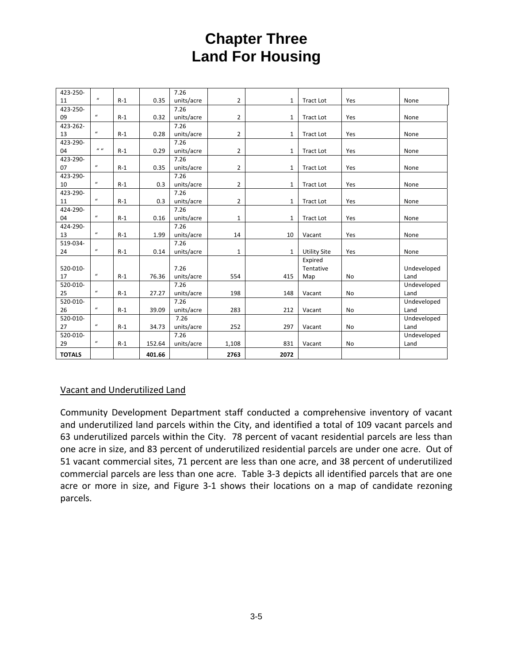| 423-250-      |                  |       |        | 7.26       |                |              |                     |           |             |
|---------------|------------------|-------|--------|------------|----------------|--------------|---------------------|-----------|-------------|
| 11            | $\boldsymbol{u}$ | $R-1$ | 0.35   | units/acre | $\overline{2}$ | 1            | <b>Tract Lot</b>    | Yes       | None        |
| 423-250-      |                  |       |        | 7.26       |                |              |                     |           |             |
| 09            | $\boldsymbol{u}$ | $R-1$ | 0.32   | units/acre | $\overline{2}$ | 1            | <b>Tract Lot</b>    | Yes       | None        |
| 423-262-      |                  |       |        | 7.26       |                |              |                     |           |             |
| 13            | $\boldsymbol{u}$ | $R-1$ | 0.28   | units/acre | $\overline{2}$ | 1            | <b>Tract Lot</b>    | Yes       | None        |
| 423-290-      |                  |       |        | 7.26       |                |              |                     |           |             |
| 04            | $\boldsymbol{u}$ | $R-1$ | 0.29   | units/acre | $\overline{2}$ | 1            | <b>Tract Lot</b>    | Yes       | None        |
| 423-290-      |                  |       |        | 7.26       |                |              |                     |           |             |
| 07            | $\boldsymbol{u}$ | $R-1$ | 0.35   | units/acre | $\overline{2}$ | $\mathbf{1}$ | <b>Tract Lot</b>    | Yes       | None        |
| 423-290-      |                  |       |        | 7.26       |                |              |                     |           |             |
| 10            | $\boldsymbol{u}$ | $R-1$ | 0.3    | units/acre | $\overline{2}$ | 1            | <b>Tract Lot</b>    | Yes       | None        |
| 423-290-      |                  |       |        | 7.26       |                |              |                     |           |             |
| 11            | $\boldsymbol{u}$ | $R-1$ | 0.3    | units/acre | $\overline{2}$ | 1            | <b>Tract Lot</b>    | Yes       | None        |
| 424-290-      |                  |       |        | 7.26       |                |              |                     |           |             |
| 04            | $\boldsymbol{u}$ | $R-1$ | 0.16   | units/acre | 1              | 1            | <b>Tract Lot</b>    | Yes       | None        |
| 424-290-      |                  |       |        | 7.26       |                |              |                     |           |             |
| 13            | $\boldsymbol{u}$ | $R-1$ | 1.99   | units/acre | 14             | 10           | Vacant              | Yes       | None        |
| 519-034-      |                  |       |        | 7.26       |                |              |                     |           |             |
| 24            | $\boldsymbol{u}$ | $R-1$ | 0.14   | units/acre | 1              | $\mathbf{1}$ | <b>Utility Site</b> | Yes       | None        |
|               |                  |       |        |            |                |              | Expired             |           |             |
| 520-010-      |                  |       |        | 7.26       |                |              | Tentative           |           | Undeveloped |
| 17            | $\boldsymbol{u}$ | $R-1$ | 76.36  | units/acre | 554            | 415          | Map                 | <b>No</b> | Land        |
| 520-010-      |                  |       |        | 7.26       |                |              |                     |           | Undeveloped |
| 25            | $\boldsymbol{u}$ | $R-1$ | 27.27  | units/acre | 198            | 148          | Vacant              | <b>No</b> | Land        |
| 520-010-      |                  |       |        | 7.26       |                |              |                     |           | Undeveloped |
| 26            | $\boldsymbol{u}$ | $R-1$ | 39.09  | units/acre | 283            | 212          | Vacant              | <b>No</b> | Land        |
| 520-010-      |                  |       |        | 7.26       |                |              |                     |           | Undeveloped |
| 27            | $\boldsymbol{u}$ | $R-1$ | 34.73  | units/acre | 252            | 297          | Vacant              | <b>No</b> | Land        |
| 520-010-      |                  |       |        | 7.26       |                |              |                     |           | Undeveloped |
| 29            | $\boldsymbol{u}$ | $R-1$ | 152.64 | units/acre | 1,108          | 831          | Vacant              | <b>No</b> | Land        |
| <b>TOTALS</b> |                  |       | 401.66 |            | 2763           | 2072         |                     |           |             |

### Vacant and Underutilized Land

Community Development Department staff conducted a comprehensive inventory of vacant and underutilized land parcels within the City, and identified a total of 109 vacant parcels and 63 underutilized parcels within the City. 78 percent of vacant residential parcels are less than one acre in size, and 83 percent of underutilized residential parcels are under one acre. Out of 51 vacant commercial sites, 71 percent are less than one acre, and 38 percent of underutilized commercial parcels are less than one acre. Table 3‐3 depicts all identified parcels that are one acre or more in size, and Figure 3‐1 shows their locations on a map of candidate rezoning parcels.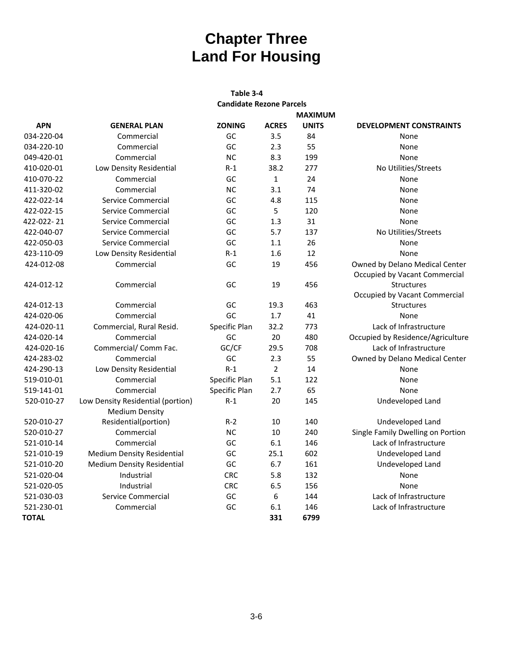#### **Table 3‐4 Candidate Rezone Parcels**

|              |                                   |               | <b>MAXIMUM</b> |              |                                                                 |
|--------------|-----------------------------------|---------------|----------------|--------------|-----------------------------------------------------------------|
| <b>APN</b>   | <b>GENERAL PLAN</b>               | <b>ZONING</b> | <b>ACRES</b>   | <b>UNITS</b> | <b>DEVELOPMENT CONSTRAINTS</b>                                  |
| 034-220-04   | Commercial                        | GC            | 3.5            | 84           | None                                                            |
| 034-220-10   | Commercial                        | GC            | 2.3            | 55           | None                                                            |
| 049-420-01   | Commercial                        | <b>NC</b>     | 8.3            | 199          | None                                                            |
| 410-020-01   | Low Density Residential           | $R-1$         | 38.2           | 277          | No Utilities/Streets                                            |
| 410-070-22   | Commercial                        | GC            | $\mathbf{1}$   | 24           | None                                                            |
| 411-320-02   | Commercial                        | <b>NC</b>     | 3.1            | 74           | None                                                            |
| 422-022-14   | Service Commercial                | GC            | 4.8            | 115          | None                                                            |
| 422-022-15   | Service Commercial                | GC            | 5              | 120          | None                                                            |
| 422-022-21   | Service Commercial                | GC            | 1.3            | 31           | None                                                            |
| 422-040-07   | Service Commercial                | GC            | 5.7            | 137          | No Utilities/Streets                                            |
| 422-050-03   | Service Commercial                | GC            | $1.1$          | 26           | None                                                            |
| 423-110-09   | Low Density Residential           | $R-1$         | 1.6            | 12           | None                                                            |
| 424-012-08   | Commercial                        | GC            | 19             | 456          | Owned by Delano Medical Center<br>Occupied by Vacant Commercial |
| 424-012-12   | Commercial                        | GC            | 19             | 456          | <b>Structures</b>                                               |
|              |                                   |               |                |              | Occupied by Vacant Commercial                                   |
| 424-012-13   | Commercial                        | GC            | 19.3           | 463          | Structures                                                      |
| 424-020-06   | Commercial                        | GC            | 1.7            | 41           | None                                                            |
| 424-020-11   | Commercial, Rural Resid.          | Specific Plan | 32.2           | 773          | Lack of Infrastructure                                          |
| 424-020-14   | Commercial                        | GC            | 20             | 480          | Occupied by Residence/Agriculture                               |
| 424-020-16   | Commercial/ Comm Fac.             | GC/CF         | 29.5           | 708          | Lack of Infrastructure                                          |
| 424-283-02   | Commercial                        | GC            | 2.3            | 55           | Owned by Delano Medical Center                                  |
| 424-290-13   | Low Density Residential           | $R-1$         | $\overline{2}$ | 14           | None                                                            |
| 519-010-01   | Commercial                        | Specific Plan | 5.1            | 122          | None                                                            |
| 519-141-01   | Commercial                        | Specific Plan | 2.7            | 65           | None                                                            |
| 520-010-27   | Low Density Residential (portion) | $R-1$         | 20             | 145          | Undeveloped Land                                                |
|              | <b>Medium Density</b>             |               |                |              |                                                                 |
| 520-010-27   | Residential(portion)              | $R-2$         | 10             | 140          | Undeveloped Land                                                |
| 520-010-27   | Commercial                        | <b>NC</b>     | 10             | 240          | Single Family Dwelling on Portion                               |
| 521-010-14   | Commercial                        | GC            | 6.1            | 146          | Lack of Infrastructure                                          |
| 521-010-19   | <b>Medium Density Residential</b> | GC            | 25.1           | 602          | Undeveloped Land                                                |
| 521-010-20   | <b>Medium Density Residential</b> | GC            | 6.7            | 161          | Undeveloped Land                                                |
| 521-020-04   | Industrial                        | <b>CRC</b>    | 5.8            | 132          | None                                                            |
| 521-020-05   | Industrial                        | <b>CRC</b>    | 6.5            | 156          | None                                                            |
| 521-030-03   | Service Commercial                | GC            | 6              | 144          | Lack of Infrastructure                                          |
| 521-230-01   | Commercial                        | GC            | 6.1            | 146          | Lack of Infrastructure                                          |
| <b>TOTAL</b> |                                   |               | 331            | 6799         |                                                                 |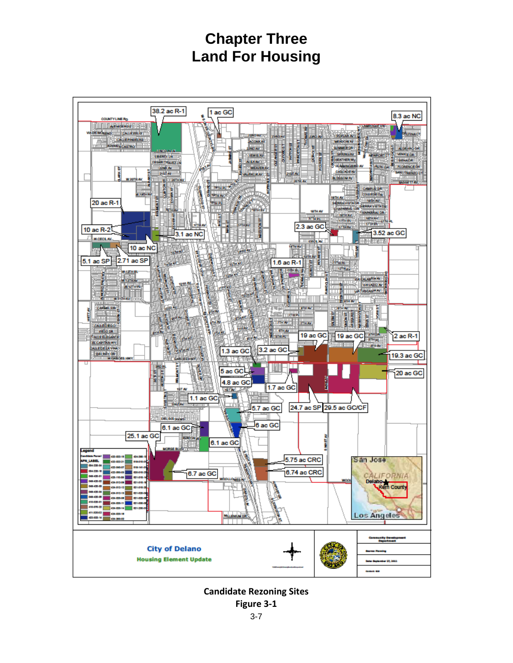

**Candidate Rezoning Sites**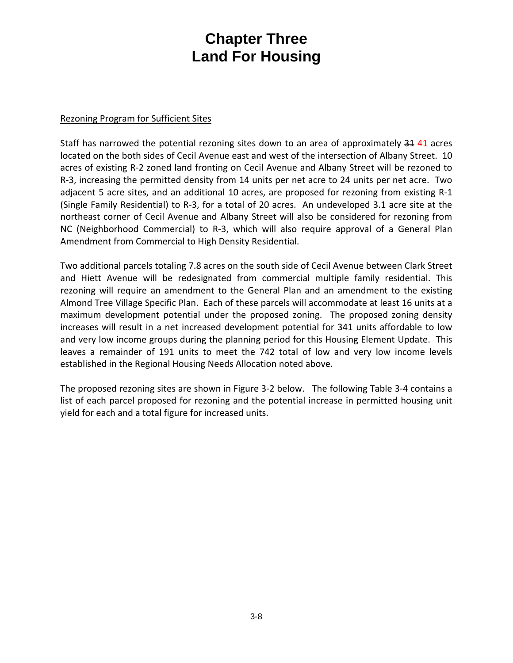#### Rezoning Program for Sufficient Sites

Staff has narrowed the potential rezoning sites down to an area of approximately 34 41 acres located on the both sides of Cecil Avenue east and west of the intersection of Albany Street. 10 acres of existing R‐2 zoned land fronting on Cecil Avenue and Albany Street will be rezoned to R‐3, increasing the permitted density from 14 units per net acre to 24 units per net acre. Two adjacent 5 acre sites, and an additional 10 acres, are proposed for rezoning from existing R‐1 (Single Family Residential) to R‐3, for a total of 20 acres. An undeveloped 3.1 acre site at the northeast corner of Cecil Avenue and Albany Street will also be considered for rezoning from NC (Neighborhood Commercial) to R‐3, which will also require approval of a General Plan Amendment from Commercial to High Density Residential.

Two additional parcels totaling 7.8 acres on the south side of Cecil Avenue between Clark Street and Hiett Avenue will be redesignated from commercial multiple family residential. This rezoning will require an amendment to the General Plan and an amendment to the existing Almond Tree Village Specific Plan. Each of these parcels will accommodate at least 16 units at a maximum development potential under the proposed zoning. The proposed zoning density increases will result in a net increased development potential for 341 units affordable to low and very low income groups during the planning period for this Housing Element Update. This leaves a remainder of 191 units to meet the 742 total of low and very low income levels established in the Regional Housing Needs Allocation noted above.

The proposed rezoning sites are shown in Figure 3‐2 below. The following Table 3‐4 contains a list of each parcel proposed for rezoning and the potential increase in permitted housing unit yield for each and a total figure for increased units.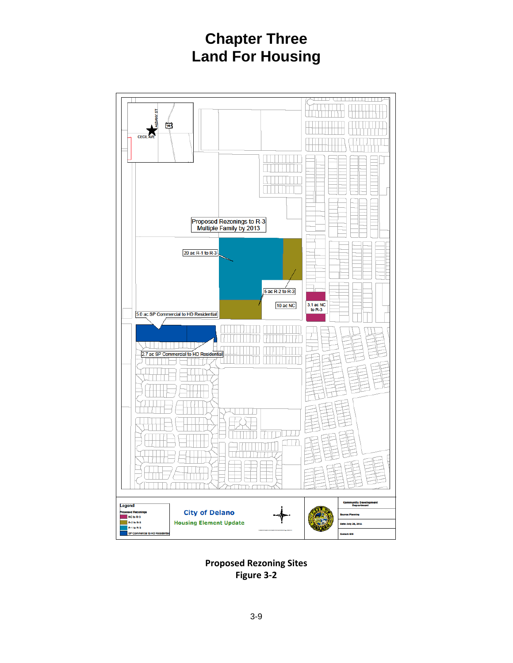

**Proposed Rezoning Sites Figure 3‐2**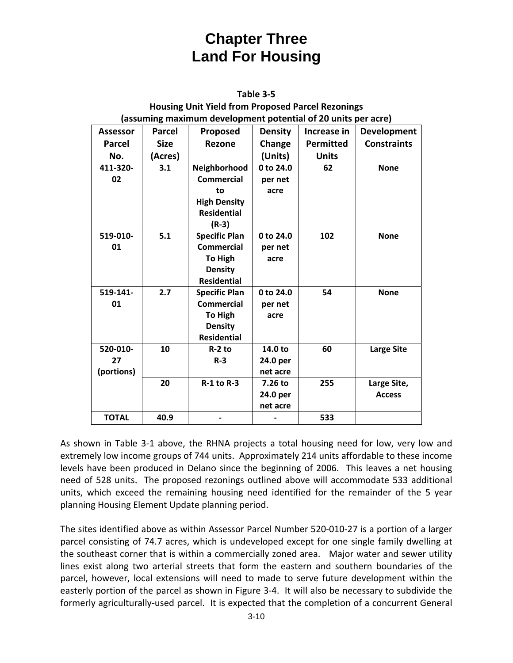| Table 3-5                                                     |               |                      |                |                  |                    |  |  |  |
|---------------------------------------------------------------|---------------|----------------------|----------------|------------------|--------------------|--|--|--|
| <b>Housing Unit Yield from Proposed Parcel Rezonings</b>      |               |                      |                |                  |                    |  |  |  |
| (assuming maximum development potential of 20 units per acre) |               |                      |                |                  |                    |  |  |  |
| <b>Assessor</b>                                               | <b>Parcel</b> | Proposed             | <b>Density</b> | Increase in      | <b>Development</b> |  |  |  |
| Parcel                                                        | <b>Size</b>   | Rezone               | Change         | <b>Permitted</b> | <b>Constraints</b> |  |  |  |
| No.                                                           | (Acres)       |                      | (Units)        | <b>Units</b>     |                    |  |  |  |
| 411-320-                                                      | 3.1           | Neighborhood         | 0 to 24.0      | 62               | <b>None</b>        |  |  |  |
| 02                                                            |               | <b>Commercial</b>    | per net        |                  |                    |  |  |  |
|                                                               |               | to                   | acre           |                  |                    |  |  |  |
|                                                               |               | <b>High Density</b>  |                |                  |                    |  |  |  |
|                                                               |               | <b>Residential</b>   |                |                  |                    |  |  |  |
|                                                               |               | $(R-3)$              |                |                  |                    |  |  |  |
| 519-010-                                                      | 5.1           | <b>Specific Plan</b> | 0 to 24.0      | 102              | <b>None</b>        |  |  |  |
| 01                                                            |               | <b>Commercial</b>    | per net        |                  |                    |  |  |  |
|                                                               |               | <b>To High</b>       | acre           |                  |                    |  |  |  |
|                                                               |               | <b>Density</b>       |                |                  |                    |  |  |  |
|                                                               |               | <b>Residential</b>   |                |                  |                    |  |  |  |
| 519-141-                                                      | 2.7           | <b>Specific Plan</b> | 0 to 24.0      | 54               | <b>None</b>        |  |  |  |
| 01                                                            |               | <b>Commercial</b>    | per net        |                  |                    |  |  |  |
|                                                               |               | <b>To High</b>       | acre           |                  |                    |  |  |  |
|                                                               |               | <b>Density</b>       |                |                  |                    |  |  |  |
|                                                               |               | <b>Residential</b>   |                |                  |                    |  |  |  |
| 520-010-                                                      | 10            | $R-2$ to             | 14.0 to        | 60               | <b>Large Site</b>  |  |  |  |
| 27                                                            |               | $R - 3$              | 24.0 per       |                  |                    |  |  |  |
| (portions)                                                    |               |                      | net acre       |                  |                    |  |  |  |
|                                                               | 20            | $R-1$ to $R-3$       | 7.26 to        | 255              | Large Site,        |  |  |  |
|                                                               |               |                      | 24.0 per       |                  | <b>Access</b>      |  |  |  |
|                                                               |               |                      | net acre       |                  |                    |  |  |  |
| <b>TOTAL</b>                                                  | 40.9          |                      |                | 533              |                    |  |  |  |

As shown in Table 3‐1 above, the RHNA projects a total housing need for low, very low and extremely low income groups of 744 units. Approximately 214 units affordable to these income levels have been produced in Delano since the beginning of 2006. This leaves a net housing need of 528 units. The proposed rezonings outlined above will accommodate 533 additional units, which exceed the remaining housing need identified for the remainder of the 5 year planning Housing Element Update planning period.

The sites identified above as within Assessor Parcel Number 520‐010‐27 is a portion of a larger parcel consisting of 74.7 acres, which is undeveloped except for one single family dwelling at the southeast corner that is within a commercially zoned area. Major water and sewer utility lines exist along two arterial streets that form the eastern and southern boundaries of the parcel, however, local extensions will need to made to serve future development within the easterly portion of the parcel as shown in Figure 3‐4. It will also be necessary to subdivide the formerly agriculturally‐used parcel. It is expected that the completion of a concurrent General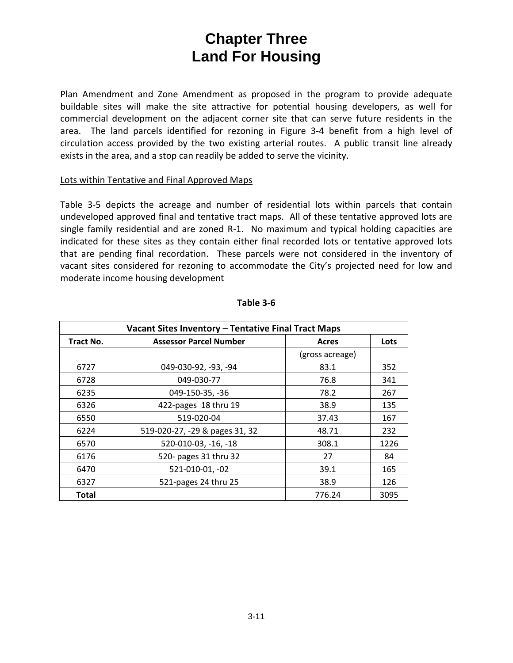Plan Amendment and Zone Amendment as proposed in the program to provide adequate buildable sites will make the site attractive for potential housing developers, as well for commercial development on the adjacent corner site that can serve future residents in the area. The land parcels identified for rezoning in Figure 3-4 benefit from a high level of circulation access provided by the two existing arterial routes. A public transit line already exists in the area, and a stop can readily be added to serve the vicinity.

#### Lots within Tentative and Final Approved Maps

Table 3‐5 depicts the acreage and number of residential lots within parcels that contain undeveloped approved final and tentative tract maps. All of these tentative approved lots are single family residential and are zoned R-1. No maximum and typical holding capacities are indicated for these sites as they contain either final recorded lots or tentative approved lots that are pending final recordation. These parcels were not considered in the inventory of vacant sites considered for rezoning to accommodate the City's projected need for low and moderate income housing development

| Vacant Sites Inventory - Tentative Final Tract Maps |                                |                 |      |  |  |  |  |
|-----------------------------------------------------|--------------------------------|-----------------|------|--|--|--|--|
| Tract No.                                           | <b>Assessor Parcel Number</b>  | Acres           | Lots |  |  |  |  |
|                                                     |                                | (gross acreage) |      |  |  |  |  |
| 6727                                                | 049-030-92, -93, -94           | 83.1            | 352  |  |  |  |  |
| 6728                                                | 049-030-77                     | 76.8            | 341  |  |  |  |  |
| 6235                                                | 049-150-35, -36                | 78.2            | 267  |  |  |  |  |
| 6326                                                | 422-pages 18 thru 19           | 38.9            | 135  |  |  |  |  |
| 6550                                                | 519-020-04                     | 37.43           | 167  |  |  |  |  |
| 6224                                                | 519-020-27, -29 & pages 31, 32 | 48.71           | 232  |  |  |  |  |
| 6570                                                | 520-010-03, -16, -18           | 308.1           | 1226 |  |  |  |  |
| 6176                                                | 520- pages 31 thru 32          | 27              | 84   |  |  |  |  |
| 6470                                                | 521-010-01, -02                | 39.1            | 165  |  |  |  |  |
| 6327                                                | 521-pages 24 thru 25           | 38.9            | 126  |  |  |  |  |
| <b>Total</b>                                        |                                | 776.24          | 3095 |  |  |  |  |

#### **Table 3‐6**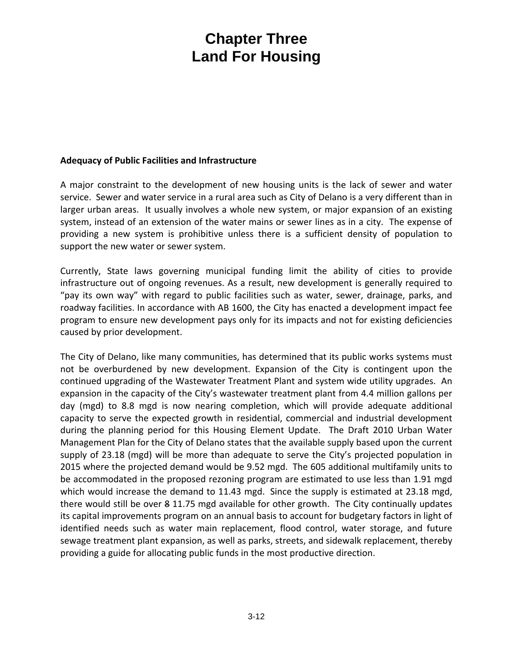#### **Adequacy of Public Facilities and Infrastructure**

A major constraint to the development of new housing units is the lack of sewer and water service. Sewer and water service in a rural area such as City of Delano is a very different than in larger urban areas. It usually involves a whole new system, or major expansion of an existing system, instead of an extension of the water mains or sewer lines as in a city. The expense of providing a new system is prohibitive unless there is a sufficient density of population to support the new water or sewer system.

Currently, State laws governing municipal funding limit the ability of cities to provide infrastructure out of ongoing revenues. As a result, new development is generally required to "pay its own way" with regard to public facilities such as water, sewer, drainage, parks, and roadway facilities. In accordance with AB 1600, the City has enacted a development impact fee program to ensure new development pays only for its impacts and not for existing deficiencies caused by prior development.

The City of Delano, like many communities, has determined that its public works systems must not be overburdened by new development. Expansion of the City is contingent upon the continued upgrading of the Wastewater Treatment Plant and system wide utility upgrades. An expansion in the capacity of the City's wastewater treatment plant from 4.4 million gallons per day (mgd) to 8.8 mgd is now nearing completion, which will provide adequate additional capacity to serve the expected growth in residential, commercial and industrial development during the planning period for this Housing Element Update. The Draft 2010 Urban Water Management Plan for the City of Delano states that the available supply based upon the current supply of 23.18 (mgd) will be more than adequate to serve the City's projected population in 2015 where the projected demand would be 9.52 mgd. The 605 additional multifamily units to be accommodated in the proposed rezoning program are estimated to use less than 1.91 mgd which would increase the demand to 11.43 mgd. Since the supply is estimated at 23.18 mgd, there would still be over 8 11.75 mgd available for other growth. The City continually updates its capital improvements program on an annual basis to account for budgetary factors in light of identified needs such as water main replacement, flood control, water storage, and future sewage treatment plant expansion, as well as parks, streets, and sidewalk replacement, thereby providing a guide for allocating public funds in the most productive direction.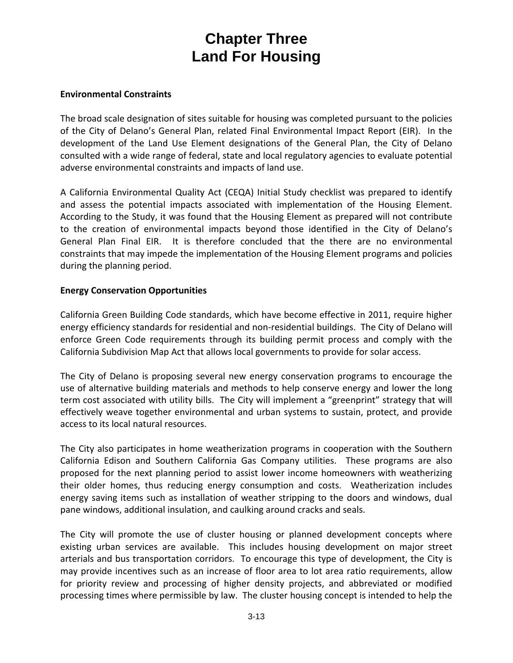#### **Environmental Constraints**

The broad scale designation of sites suitable for housing was completed pursuant to the policies of the City of Delano's General Plan, related Final Environmental Impact Report (EIR). In the development of the Land Use Element designations of the General Plan, the City of Delano consulted with a wide range of federal, state and local regulatory agencies to evaluate potential adverse environmental constraints and impacts of land use.

A California Environmental Quality Act (CEQA) Initial Study checklist was prepared to identify and assess the potential impacts associated with implementation of the Housing Element. According to the Study, it was found that the Housing Element as prepared will not contribute to the creation of environmental impacts beyond those identified in the City of Delano's General Plan Final EIR. It is therefore concluded that the there are no environmental constraints that may impede the implementation of the Housing Element programs and policies during the planning period.

#### **Energy Conservation Opportunities**

California Green Building Code standards, which have become effective in 2011, require higher energy efficiency standards for residential and non-residential buildings. The City of Delano will enforce Green Code requirements through its building permit process and comply with the California Subdivision Map Act that allows local governments to provide for solar access.

The City of Delano is proposing several new energy conservation programs to encourage the use of alternative building materials and methods to help conserve energy and lower the long term cost associated with utility bills. The City will implement a "greenprint" strategy that will effectively weave together environmental and urban systems to sustain, protect, and provide access to its local natural resources.

The City also participates in home weatherization programs in cooperation with the Southern California Edison and Southern California Gas Company utilities. These programs are also proposed for the next planning period to assist lower income homeowners with weatherizing their older homes, thus reducing energy consumption and costs. Weatherization includes energy saving items such as installation of weather stripping to the doors and windows, dual pane windows, additional insulation, and caulking around cracks and seals.

The City will promote the use of cluster housing or planned development concepts where existing urban services are available. This includes housing development on major street arterials and bus transportation corridors. To encourage this type of development, the City is may provide incentives such as an increase of floor area to lot area ratio requirements, allow for priority review and processing of higher density projects, and abbreviated or modified processing times where permissible by law. The cluster housing concept is intended to help the